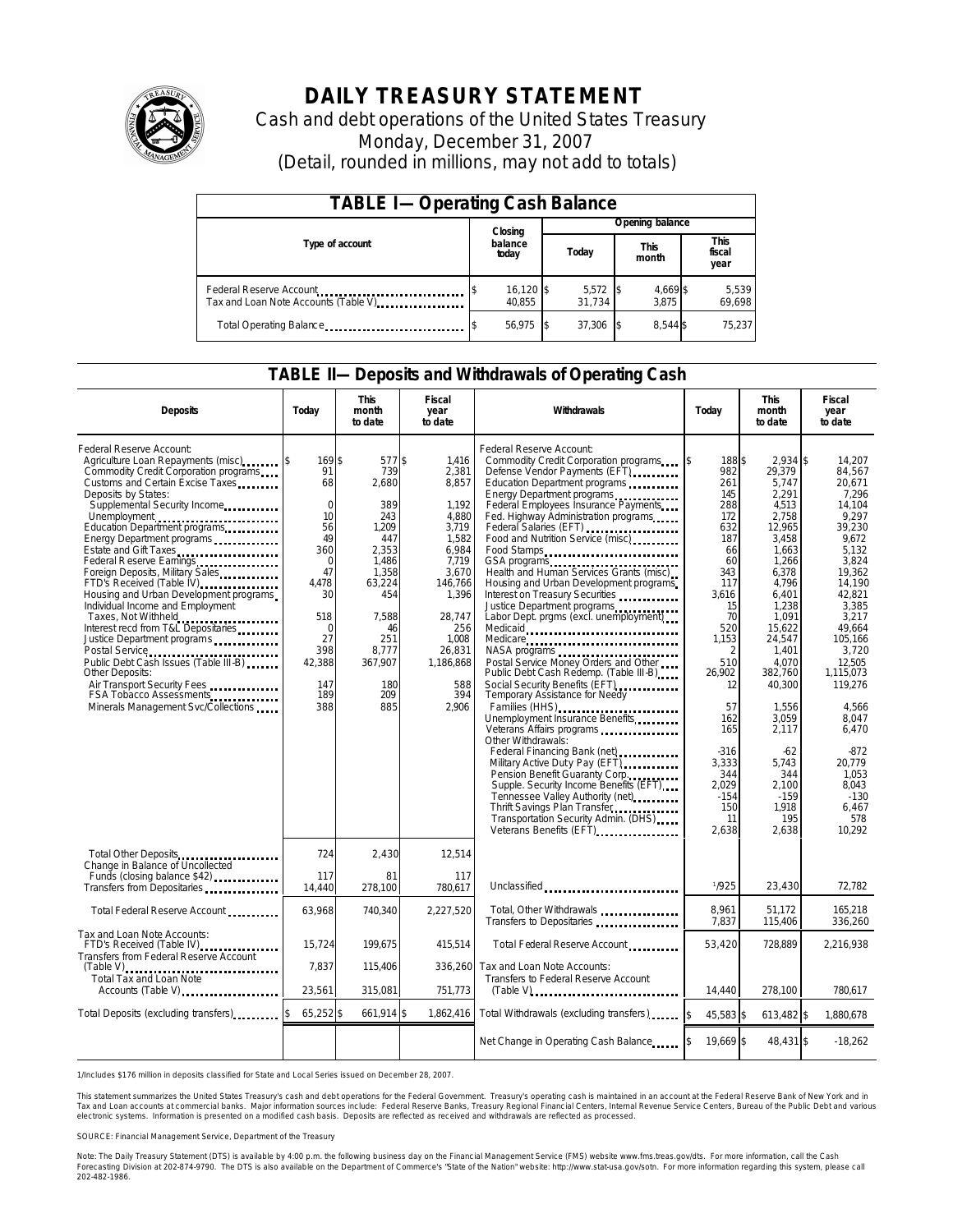

# **DAILY TREASURY STATEMENT**

Cash and debt operations of the United States Treasury Monday, December 31, 2007 (Detail, rounded in millions, may not add to totals)

| <b>TABLE I-Operating Cash Balance</b>                            |                       |                               |                   |                        |  |  |  |
|------------------------------------------------------------------|-----------------------|-------------------------------|-------------------|------------------------|--|--|--|
|                                                                  | Closing               | Opening balance               |                   |                        |  |  |  |
| Type of account                                                  | balance<br>today      | <b>This</b><br>Today<br>month |                   | This<br>fiscal<br>year |  |  |  |
| Federal Reserve Account<br>Tax and Loan Note Accounts (Table V). | $16,120$ \$<br>40.855 | $5,572$ \$<br>31.734          | 4,669 \$<br>3.875 | 5,539<br>69,698        |  |  |  |
| Total Operating Balance                                          | 56.975                | 37.306                        | 8.544 \$          | 75.237                 |  |  |  |

### **TABLE II—Deposits and Withdrawals of Operating Cash**

| <b>Deposits</b>                                                                                                                                                                                                                                                                                                                                                                                                                                                                                                                                                                                                                                                                                                                                               | Today                                                                                                                                                          | <b>This</b><br>month<br>to date                                                                                                                                 | Fiscal<br>year<br>to date                                                                                                                                                          | Withdrawals                                                                                                                                                                                                                                                                                                                                                                                                                                                                                                                                                                                                                                                                                                                                                                                                                                                                                                                                                                                                                                                         | Today                                                                                                                                                                                                                                                       | <b>This</b><br>month<br>to date                                                                                                                                                                                                                                                                     | Fiscal<br>year<br>to date                                                                                                                                                                                                                                                                                        |
|---------------------------------------------------------------------------------------------------------------------------------------------------------------------------------------------------------------------------------------------------------------------------------------------------------------------------------------------------------------------------------------------------------------------------------------------------------------------------------------------------------------------------------------------------------------------------------------------------------------------------------------------------------------------------------------------------------------------------------------------------------------|----------------------------------------------------------------------------------------------------------------------------------------------------------------|-----------------------------------------------------------------------------------------------------------------------------------------------------------------|------------------------------------------------------------------------------------------------------------------------------------------------------------------------------------|---------------------------------------------------------------------------------------------------------------------------------------------------------------------------------------------------------------------------------------------------------------------------------------------------------------------------------------------------------------------------------------------------------------------------------------------------------------------------------------------------------------------------------------------------------------------------------------------------------------------------------------------------------------------------------------------------------------------------------------------------------------------------------------------------------------------------------------------------------------------------------------------------------------------------------------------------------------------------------------------------------------------------------------------------------------------|-------------------------------------------------------------------------------------------------------------------------------------------------------------------------------------------------------------------------------------------------------------|-----------------------------------------------------------------------------------------------------------------------------------------------------------------------------------------------------------------------------------------------------------------------------------------------------|------------------------------------------------------------------------------------------------------------------------------------------------------------------------------------------------------------------------------------------------------------------------------------------------------------------|
| Federal Reserve Account:<br>Agriculture Loan Repayments (misc)<br>Commodity Credit Corporation programs<br>Customs and Certain Excise Taxes<br>Deposits by States:<br>Supplemental Security Income<br>Education Department programs<br>Energy Department programs<br>Estate and Gift Taxes<br>Federal Reserve Earnings [19] Federal Reserve Earnings<br>Foreign Deposits, Military Sales<br>FTD's Received (Table IV)<br>Housing and Urban Development programs<br>Individual Income and Employment<br>Taxes, Not Withheld<br>Interest recd from T&L Depositaries<br>Justice Department programs<br>Public Debt Cash Issues (Table III-B)<br>Other Deposits:<br>Air Transport Security Fees<br>FSA Tobacco Assessments<br>Minerals Management Svc/Collections | 169S<br>91<br>68<br>$\mathbf 0$<br>10<br>56<br>49<br>360<br>$\mathbf 0$<br>47<br>4.478<br>30<br>518<br>$\mathbf 0$<br>27<br>398<br>42,388<br>147<br>189<br>388 | 577 \$<br>739<br>2.680<br>389<br>243<br>1,209<br>447<br>2,353<br>1,486<br>1,358<br>63,224<br>454<br>7.588<br>46<br>251<br>8.777<br>367.907<br>180<br>209<br>885 | 1.416<br>2.381<br>8,857<br>1.192<br>4,880<br>3,719<br>1,582<br>6,984<br>7,719<br>3.670<br>146,766<br>1,396<br>28,747<br>256<br>1,008<br>26.831<br>1,186,868<br>588<br>394<br>2,906 | Federal Reserve Account:<br>Commodity Credit Corporation programs<br>Defense Vendor Payments (EFT)<br>Education Department programs<br>Energy Department programs<br>Federal Employees Insurance Payments<br>Fed. Highway Administration programs<br>Federal Salaries (EFT)<br>Food and Nutrition Service (misc)<br>Food Stamps<br>Health and Human Services Grants (misc)<br>Housing and Urban Development programs<br>Interest on Treasury Securities<br>Justice Department programs<br>Labor Dept. prgms (excl. unemployment)<br>Medicaid<br>Medicare<br>NASA programs<br>Postal Service Money Orders and Other<br>Public Debt Cash Redemp. (Table III-B)<br>Temporary Assistance for Needy<br>Families (HHS)<br>Unemployment Insurance Benefits<br>Other Withdrawals:<br>Federal Financing Bank (net)<br>Federal Financing Bank (net)<br>Military Active Duty Pay (EFT)<br>Pension Benefit Guaranty Corp.<br>Supple. Security Income Benefits (EFT)<br>Tennessee Valley Authority (net)<br>Thrift Savings Plan Transfer<br>Transportation Security Admin. (DHS) | 188\$<br>\$<br>982<br>261<br>145<br>288<br>172<br>632<br>187<br>66<br>60<br>343<br>117<br>3,616<br>15<br>70<br>520<br>1.153<br>$\overline{2}$<br>510<br>26,902<br>12<br>57<br>162<br>165<br>$-316$<br>3,333<br>344<br>2.029<br>$-154$<br>150<br>11<br>2,638 | 2.934 \$<br>29.379<br>5.747<br>2.291<br>4.513<br>2,758<br>12,965<br>3,458<br>1,663<br>1,266<br>6,378<br>4,796<br>6,401<br>1,238<br>1,091<br>15.622<br>24,547<br>1,401<br>4.070<br>382,760<br>40,300<br>1,556<br>3.059<br>2,117<br>$-62$<br>5.743<br>344<br>2.100<br>$-159$<br>1,918<br>195<br>2,638 | 14.207<br>84.567<br>20.671<br>7.296<br>14.104<br>9.297<br>39,230<br>9.672<br>5,132<br>3,824<br>19.362<br>14,190<br>42,821<br>3,385<br>3,217<br>49.664<br>105.166<br>3.720<br>12.505<br>1,115,073<br>119,276<br>4,566<br>8.047<br>6,470<br>$-872$<br>20.779<br>1.053<br>8.043<br>$-130$<br>6,467<br>578<br>10,292 |
| Total Other Deposits<br>Change in Balance of Uncollected<br>Funds (closing balance \$42)                                                                                                                                                                                                                                                                                                                                                                                                                                                                                                                                                                                                                                                                      | 724<br>117<br>14,440                                                                                                                                           | 2,430<br>81<br>278,100                                                                                                                                          | 12,514<br>117<br>780.617                                                                                                                                                           | Unclassified                                                                                                                                                                                                                                                                                                                                                                                                                                                                                                                                                                                                                                                                                                                                                                                                                                                                                                                                                                                                                                                        | 1/925                                                                                                                                                                                                                                                       | 23,430                                                                                                                                                                                                                                                                                              | 72,782                                                                                                                                                                                                                                                                                                           |
| Total Federal Reserve Account                                                                                                                                                                                                                                                                                                                                                                                                                                                                                                                                                                                                                                                                                                                                 | 63,968                                                                                                                                                         | 740,340                                                                                                                                                         | 2,227,520                                                                                                                                                                          | Total, Other Withdrawals<br>Transfers to Depositaries                                                                                                                                                                                                                                                                                                                                                                                                                                                                                                                                                                                                                                                                                                                                                                                                                                                                                                                                                                                                               | 8.961<br>7,837                                                                                                                                                                                                                                              | 51.172<br>115,406                                                                                                                                                                                                                                                                                   | 165,218<br>336,260                                                                                                                                                                                                                                                                                               |
| Tax and Loan Note Accounts:<br>FTD's Received (Table IV)<br>Transfers from Federal Reserve Account<br>$(Table V)$                                                                                                                                                                                                                                                                                                                                                                                                                                                                                                                                                                                                                                             | 15,724<br>7.837                                                                                                                                                | 199.675<br>115,406                                                                                                                                              | 415,514<br>336,260                                                                                                                                                                 | Total Federal Reserve Account<br>Tax and Loan Note Accounts:                                                                                                                                                                                                                                                                                                                                                                                                                                                                                                                                                                                                                                                                                                                                                                                                                                                                                                                                                                                                        | 53,420                                                                                                                                                                                                                                                      | 728,889                                                                                                                                                                                                                                                                                             | 2,216,938                                                                                                                                                                                                                                                                                                        |
| Total Tax and Loan Note<br>Accounts (Table V)                                                                                                                                                                                                                                                                                                                                                                                                                                                                                                                                                                                                                                                                                                                 | 23.561                                                                                                                                                         | 315.081                                                                                                                                                         | 751.773                                                                                                                                                                            | Transfers to Federal Reserve Account<br>$(Table V)$                                                                                                                                                                                                                                                                                                                                                                                                                                                                                                                                                                                                                                                                                                                                                                                                                                                                                                                                                                                                                 | 14.440                                                                                                                                                                                                                                                      | 278.100                                                                                                                                                                                                                                                                                             | 780.617                                                                                                                                                                                                                                                                                                          |
| Total Deposits (excluding transfers)                                                                                                                                                                                                                                                                                                                                                                                                                                                                                                                                                                                                                                                                                                                          | 65,252 \$<br>\$                                                                                                                                                | 661,914 \$                                                                                                                                                      | 1,862,416                                                                                                                                                                          | Total Withdrawals (excluding transfers) [\$                                                                                                                                                                                                                                                                                                                                                                                                                                                                                                                                                                                                                                                                                                                                                                                                                                                                                                                                                                                                                         | 45.583 \$                                                                                                                                                                                                                                                   | 613,482 \$                                                                                                                                                                                                                                                                                          | 1.880.678                                                                                                                                                                                                                                                                                                        |
|                                                                                                                                                                                                                                                                                                                                                                                                                                                                                                                                                                                                                                                                                                                                                               |                                                                                                                                                                |                                                                                                                                                                 |                                                                                                                                                                                    | Net Change in Operating Cash Balance                                                                                                                                                                                                                                                                                                                                                                                                                                                                                                                                                                                                                                                                                                                                                                                                                                                                                                                                                                                                                                | 19.669 \$                                                                                                                                                                                                                                                   | 48,431 \$                                                                                                                                                                                                                                                                                           | $-18,262$                                                                                                                                                                                                                                                                                                        |

1/Includes \$176 million in deposits classified for State and Local Series issued on December 28, 2007.

This statement summarizes the United States Treasury's cash and debt operations for the Federal Government. Treasury's operating cash is maintained in an account at the Federal Reserve Bank of New York and in Tax and Loan accounts at commercial banks. Major information sources include: Federal Reserve Banks, Treasury Regional Financial Centers, Internal Revenue Service Centers, Bureau of the Public Debt and various<br>electronic s

SOURCE: Financial Management Service, Department of the Treasury

Note: The Daily Treasury Statement (DTS) is available by 4:00 p.m. the following business day on the Financial Management Service (FMS) website www.fms.treas.gov/dts. For more information, call the Cash<br>Forecasting Divisio 'S) is available by 4:00 p.m. the following business day on the Financial Management Service (FMS) website www.fms.treas.gov/dts. For more information, call the Cash<br>The DTS is also available on the Department of Commerce'